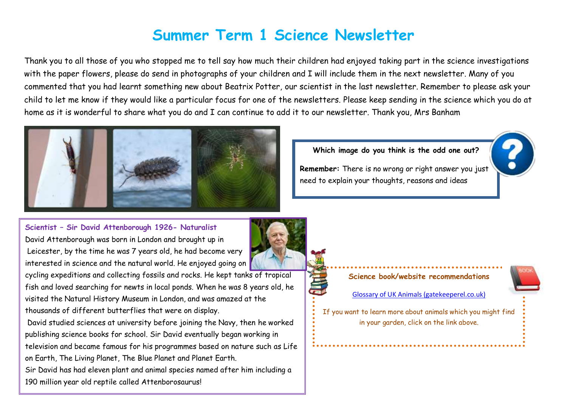# **Summer Term 1 Science Newsletter**

Thank you to all those of you who stopped me to tell say how much their children had enjoyed taking part in the science investigations with the paper flowers, please do send in photographs of your children and I will include them in the next newsletter. Many of you commented that you had learnt something new about Beatrix Potter, our scientist in the last newsletter. Remember to please ask your child to let me know if they would like a particular focus for one of the newsletters. Please keep sending in the science which you do at home as it is wonderful to share what you do and I can continue to add it to our newsletter. Thank you, Mrs Banham



**Which image do you think is the odd one out?**

**Remember:** There is no wrong or right answer you just need to explain your thoughts, reasons and ideas

**Scientist – Sir David Attenborough 1926- Naturalist** David Attenborough was born in London and brought up in Leicester, by the time he was 7 years old, he had become very interested in science and the natural world. He enjoyed going on cycling expeditions and collecting fossils and rocks. He kept tanks of tropical fish and loved searching for newts in local ponds. When he was 8 years old, he visited the Natural History Museum in London, and was amazed at the thousands of different butterflies that were on display.

David studied sciences at university before joining the Navy, then he worked publishing science books for school. Sir David eventually began working in television and became famous for his programmes based on nature such as Life on Earth, The Living Planet, The Blue Planet and Planet Earth. Sir David has had eleven plant and animal species named after him including a 190 million year old reptile called Attenborosaurus!



#### **Science book/website recommendations**

[Glossary of UK Animals \(gatekeeperel.co.uk\)](https://www.gatekeeperel.co.uk/resources/animalglossary.html)

If you want to learn more about animals which you might find in your garden, click on the link above.